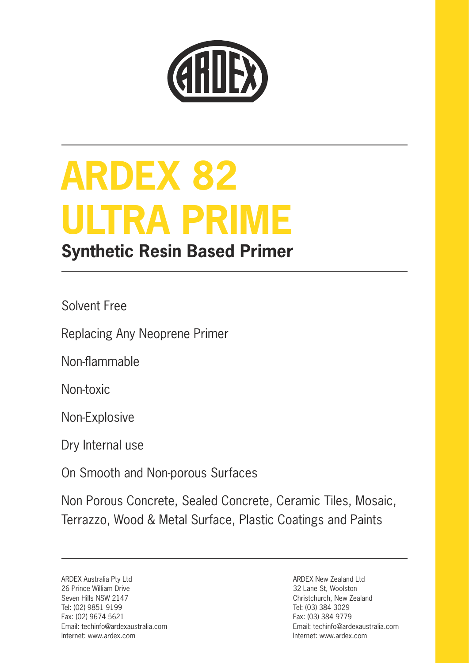

# **ARDEX 82 ULTRA PRIME**

## **Synthetic Resin Based Primer**

Solvent Free

Replacing Any Neoprene Primer

Non-flammable

Non-toxic

Non-Explosive

Dry Internal use

On Smooth and Non-porous Surfaces

Non Porous Concrete, Sealed Concrete, Ceramic Tiles, Mosaic, Terrazzo, Wood & Metal Surface, Plastic Coatings and Paints

ARDEX Australia Pty Ltd 26 Prince William Drive Seven Hills NSW 2147 Tel: (02) 9851 9199 Fax: (02) 9674 5621 Email: techinfo@ardexaustralia.com Internet: www.ardex.com

ARDEX New Zealand Ltd 32 Lane St, Woolston Christchurch, New Zealand Tel: (03) 384 3029 Fax: (03) 384 9779 Email: techinfo@ardexaustralia.com Internet: www.ardex.com